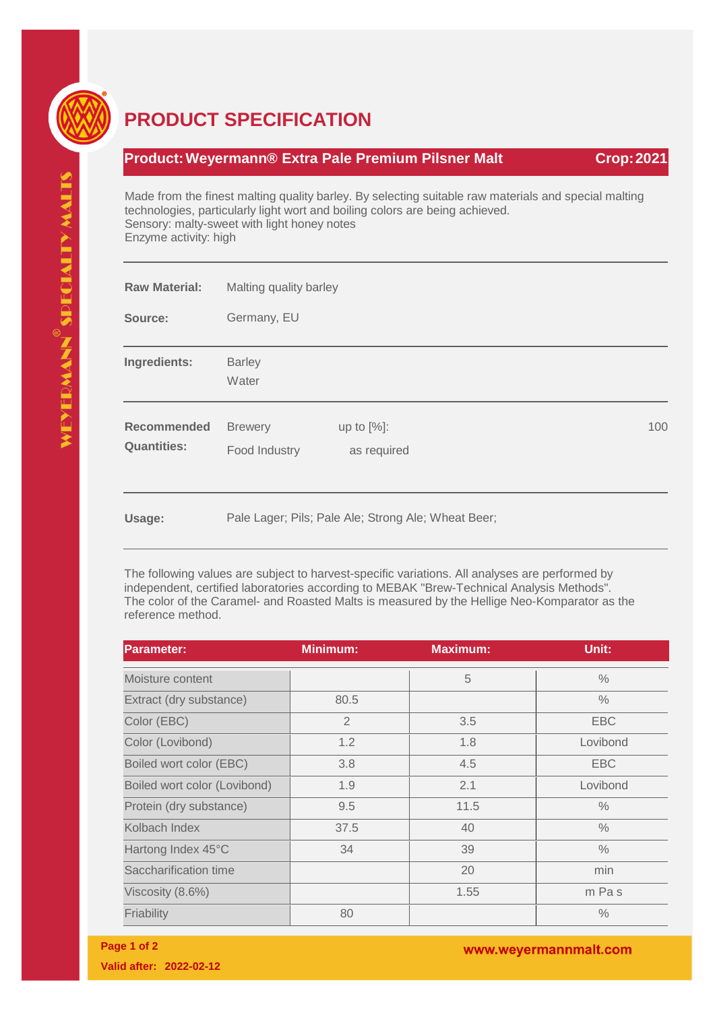

## **PRODUCT SPECIFICATION**

## **Product:Weyermann® Extra Pale Premium Pilsner Malt Crop:2021**

Made from the finest malting quality barley. By selecting suitable raw materials and special malting technologies, particularly light wort and boiling colors are being achieved. Sensory: malty-sweet with light honey notes Enzyme activity: high

| <b>Raw Material:</b>                     | Malting quality barley          |                                                     |  |     |
|------------------------------------------|---------------------------------|-----------------------------------------------------|--|-----|
| Source:                                  | Germany, EU                     |                                                     |  |     |
| Ingredients:                             | <b>Barley</b><br>Water          |                                                     |  |     |
| <b>Recommended</b><br><b>Quantities:</b> | <b>Brewery</b><br>Food Industry | up to $[%]$ :<br>as required                        |  | 100 |
| Usage:                                   |                                 | Pale Lager; Pils; Pale Ale; Strong Ale; Wheat Beer; |  |     |

The following values are subject to harvest-specific variations. All analyses are performed by independent, certified laboratories according to MEBAK "Brew-Technical Analysis Methods". The color of the Caramel- and Roasted Malts is measured by the Hellige Neo-Komparator as the reference method.

| <b>Parameter:</b>            | <b>Minimum:</b> | Maximum: | Unit:         |
|------------------------------|-----------------|----------|---------------|
| Moisture content             |                 | 5        | $\frac{0}{0}$ |
| Extract (dry substance)      | 80.5            |          | $\%$          |
| Color (EBC)                  | $\overline{2}$  | 3.5      | <b>EBC</b>    |
| Color (Lovibond)             | 1.2             | 1.8      | Lovibond      |
| Boiled wort color (EBC)      | 3.8             | 4.5      | <b>EBC</b>    |
| Boiled wort color (Lovibond) | 1.9             | 2.1      | Lovibond      |
| Protein (dry substance)      | 9.5             | 11.5     | $\%$          |
| Kolbach Index                | 37.5            | 40       | $\frac{0}{0}$ |
| Hartong Index 45°C           | 34              | 39       | $\frac{0}{0}$ |
| Saccharification time        |                 | 20       | min           |
| Viscosity (8.6%)             |                 | 1.55     | m Pas         |
| Friability                   | 80              |          | $\%$          |